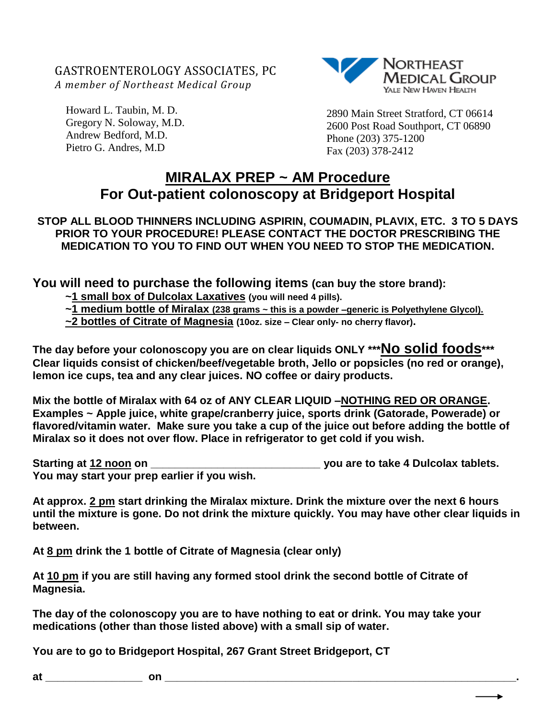GASTROENTEROLOGY ASSOCIATES, PC *A member of Northeast Medical Group*

Howard L. Taubin, M. D. Gregory N. Soloway, M.D. Andrew Bedford, M.D. Pietro G. Andres, M.D



2890 Main Street Stratford, CT 06614 2600 Post Road Southport, CT 06890 Phone (203) 375-1200 Fax (203) 378-2412

## **MIRALAX PREP ~ AM Procedure For Out-patient colonoscopy at Bridgeport Hospital**

## **STOP ALL BLOOD THINNERS INCLUDING ASPIRIN, COUMADIN, PLAVIX, ETC. 3 TO 5 DAYS PRIOR TO YOUR PROCEDURE! PLEASE CONTACT THE DOCTOR PRESCRIBING THE MEDICATION TO YOU TO FIND OUT WHEN YOU NEED TO STOP THE MEDICATION.**

**You will need to purchase the following items (can buy the store brand):**

**~1 small box of Dulcolax Laxatives (you will need 4 pills).**

**~1 medium bottle of Miralax (238 grams ~ this is a powder –generic is Polyethylene Glycol).**

**~2 bottles of Citrate of Magnesia (10oz. size – Clear only- no cherry flavor).**

**The day before your colonoscopy you are on clear liquids ONLY \*\*\*No solid foods\*\*\* Clear liquids consist of chicken/beef/vegetable broth, Jello or popsicles (no red or orange), lemon ice cups, tea and any clear juices. NO coffee or dairy products.**

**Mix the bottle of Miralax with 64 oz of ANY CLEAR LIQUID –NOTHING RED OR ORANGE. Examples ~ Apple juice, white grape/cranberry juice, sports drink (Gatorade, Powerade) or flavored/vitamin water. Make sure you take a cup of the juice out before adding the bottle of Miralax so it does not over flow. Place in refrigerator to get cold if you wish.**

**Starting at 12 noon on \_\_\_\_\_\_\_\_\_\_\_\_\_\_\_\_\_\_\_\_\_\_\_\_\_\_\_\_ you are to take 4 Dulcolax tablets. You may start your prep earlier if you wish.** 

**At approx. 2 pm start drinking the Miralax mixture. Drink the mixture over the next 6 hours until the mixture is gone. Do not drink the mixture quickly. You may have other clear liquids in between.** 

**At 8 pm drink the 1 bottle of Citrate of Magnesia (clear only)** 

**At 10 pm if you are still having any formed stool drink the second bottle of Citrate of Magnesia.**

**The day of the colonoscopy you are to have nothing to eat or drink. You may take your medications (other than those listed above) with a small sip of water.** 

**You are to go to Bridgeport Hospital, 267 Grant Street Bridgeport, CT**